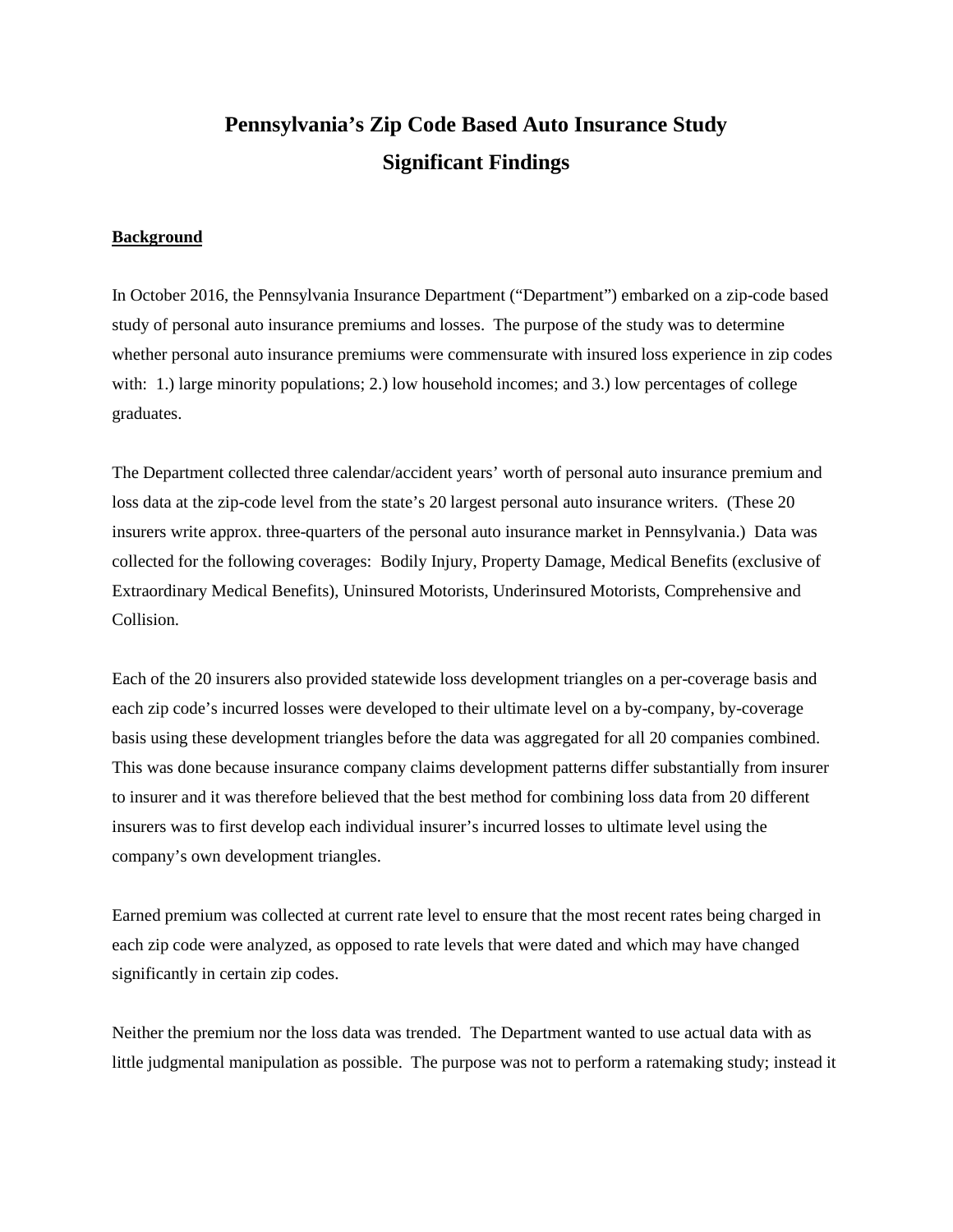# **Pennsylvania's Zip Code Based Auto Insurance Study Significant Findings**

### **Background**

In October 2016, the Pennsylvania Insurance Department ("Department") embarked on a zip-code based study of personal auto insurance premiums and losses. The purpose of the study was to determine whether personal auto insurance premiums were commensurate with insured loss experience in zip codes with: 1.) large minority populations; 2.) low household incomes; and 3.) low percentages of college graduates.

The Department collected three calendar/accident years' worth of personal auto insurance premium and loss data at the zip-code level from the state's 20 largest personal auto insurance writers. (These 20 insurers write approx. three-quarters of the personal auto insurance market in Pennsylvania.) Data was collected for the following coverages: Bodily Injury, Property Damage, Medical Benefits (exclusive of Extraordinary Medical Benefits), Uninsured Motorists, Underinsured Motorists, Comprehensive and Collision.

Each of the 20 insurers also provided statewide loss development triangles on a per-coverage basis and each zip code's incurred losses were developed to their ultimate level on a by-company, by-coverage basis using these development triangles before the data was aggregated for all 20 companies combined. This was done because insurance company claims development patterns differ substantially from insurer to insurer and it was therefore believed that the best method for combining loss data from 20 different insurers was to first develop each individual insurer's incurred losses to ultimate level using the company's own development triangles.

Earned premium was collected at current rate level to ensure that the most recent rates being charged in each zip code were analyzed, as opposed to rate levels that were dated and which may have changed significantly in certain zip codes.

Neither the premium nor the loss data was trended. The Department wanted to use actual data with as little judgmental manipulation as possible. The purpose was not to perform a ratemaking study; instead it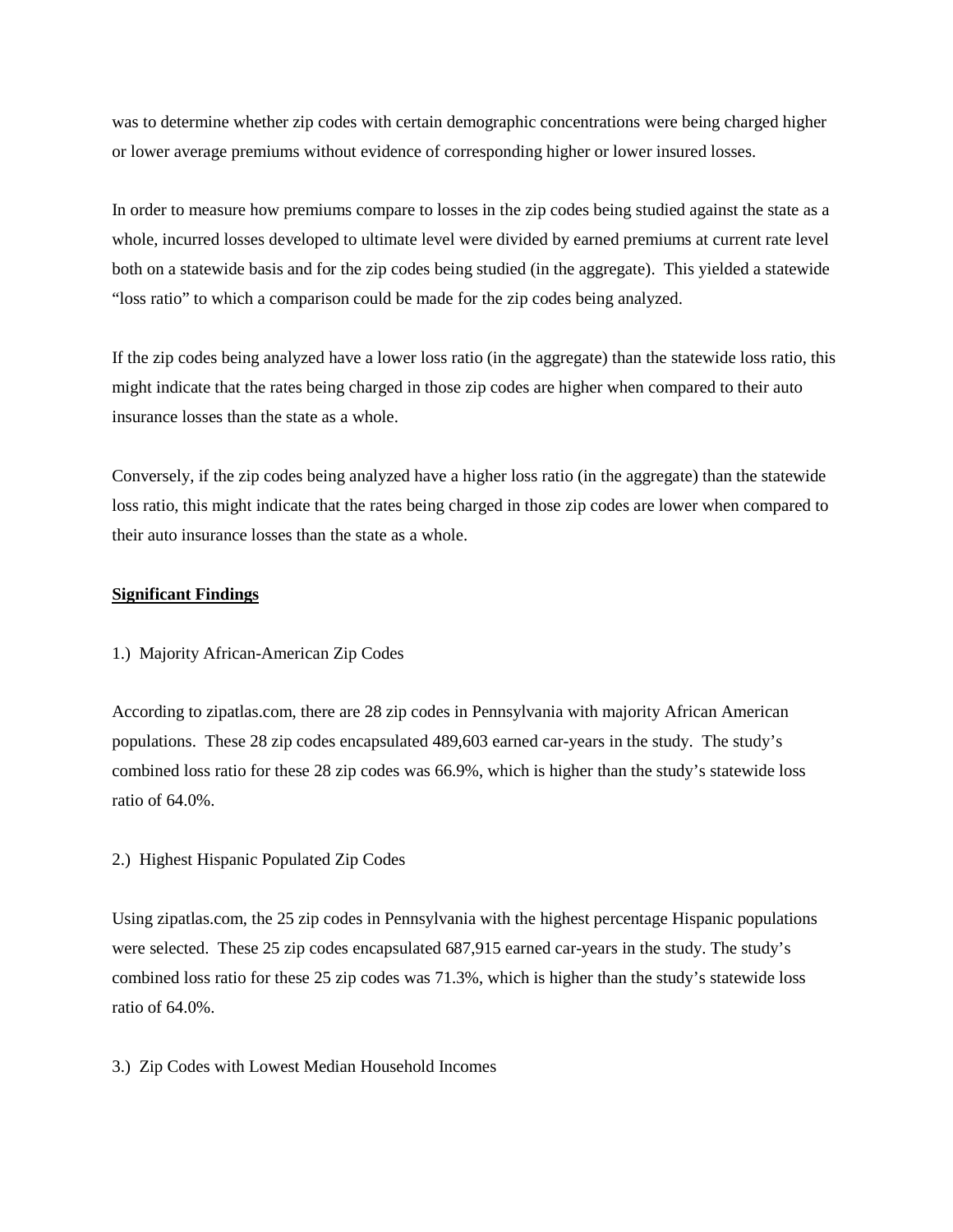was to determine whether zip codes with certain demographic concentrations were being charged higher or lower average premiums without evidence of corresponding higher or lower insured losses.

In order to measure how premiums compare to losses in the zip codes being studied against the state as a whole, incurred losses developed to ultimate level were divided by earned premiums at current rate level both on a statewide basis and for the zip codes being studied (in the aggregate). This yielded a statewide "loss ratio" to which a comparison could be made for the zip codes being analyzed.

If the zip codes being analyzed have a lower loss ratio (in the aggregate) than the statewide loss ratio, this might indicate that the rates being charged in those zip codes are higher when compared to their auto insurance losses than the state as a whole.

Conversely, if the zip codes being analyzed have a higher loss ratio (in the aggregate) than the statewide loss ratio, this might indicate that the rates being charged in those zip codes are lower when compared to their auto insurance losses than the state as a whole.

# **Significant Findings**

# 1.) Majority African-American Zip Codes

According to zipatlas.com, there are 28 zip codes in Pennsylvania with majority African American populations. These 28 zip codes encapsulated 489,603 earned car-years in the study. The study's combined loss ratio for these 28 zip codes was 66.9%, which is higher than the study's statewide loss ratio of 64.0%.

## 2.) Highest Hispanic Populated Zip Codes

Using zipatlas.com, the 25 zip codes in Pennsylvania with the highest percentage Hispanic populations were selected. These 25 zip codes encapsulated 687,915 earned car-years in the study. The study's combined loss ratio for these 25 zip codes was 71.3%, which is higher than the study's statewide loss ratio of 64.0%.

## 3.) Zip Codes with Lowest Median Household Incomes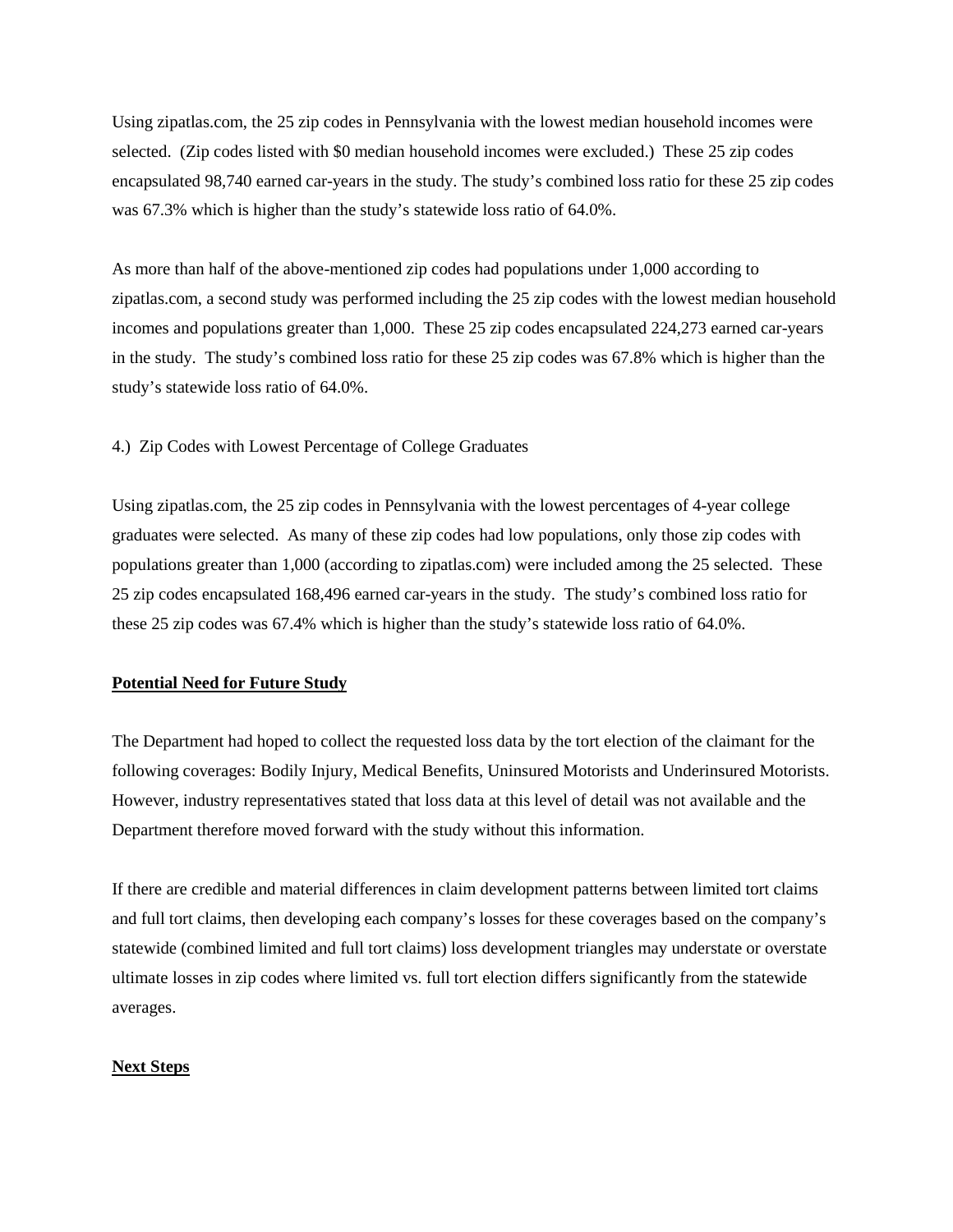Using zipatlas.com, the 25 zip codes in Pennsylvania with the lowest median household incomes were selected. (Zip codes listed with \$0 median household incomes were excluded.) These 25 zip codes encapsulated 98,740 earned car-years in the study. The study's combined loss ratio for these 25 zip codes was 67.3% which is higher than the study's statewide loss ratio of 64.0%.

As more than half of the above-mentioned zip codes had populations under 1,000 according to zipatlas.com, a second study was performed including the 25 zip codes with the lowest median household incomes and populations greater than 1,000. These 25 zip codes encapsulated 224,273 earned car-years in the study. The study's combined loss ratio for these 25 zip codes was 67.8% which is higher than the study's statewide loss ratio of 64.0%.

# 4.) Zip Codes with Lowest Percentage of College Graduates

Using zipatlas.com, the 25 zip codes in Pennsylvania with the lowest percentages of 4-year college graduates were selected. As many of these zip codes had low populations, only those zip codes with populations greater than 1,000 (according to zipatlas.com) were included among the 25 selected. These 25 zip codes encapsulated 168,496 earned car-years in the study. The study's combined loss ratio for these 25 zip codes was 67.4% which is higher than the study's statewide loss ratio of 64.0%.

#### **Potential Need for Future Study**

The Department had hoped to collect the requested loss data by the tort election of the claimant for the following coverages: Bodily Injury, Medical Benefits, Uninsured Motorists and Underinsured Motorists. However, industry representatives stated that loss data at this level of detail was not available and the Department therefore moved forward with the study without this information.

If there are credible and material differences in claim development patterns between limited tort claims and full tort claims, then developing each company's losses for these coverages based on the company's statewide (combined limited and full tort claims) loss development triangles may understate or overstate ultimate losses in zip codes where limited vs. full tort election differs significantly from the statewide averages.

#### **Next Steps**